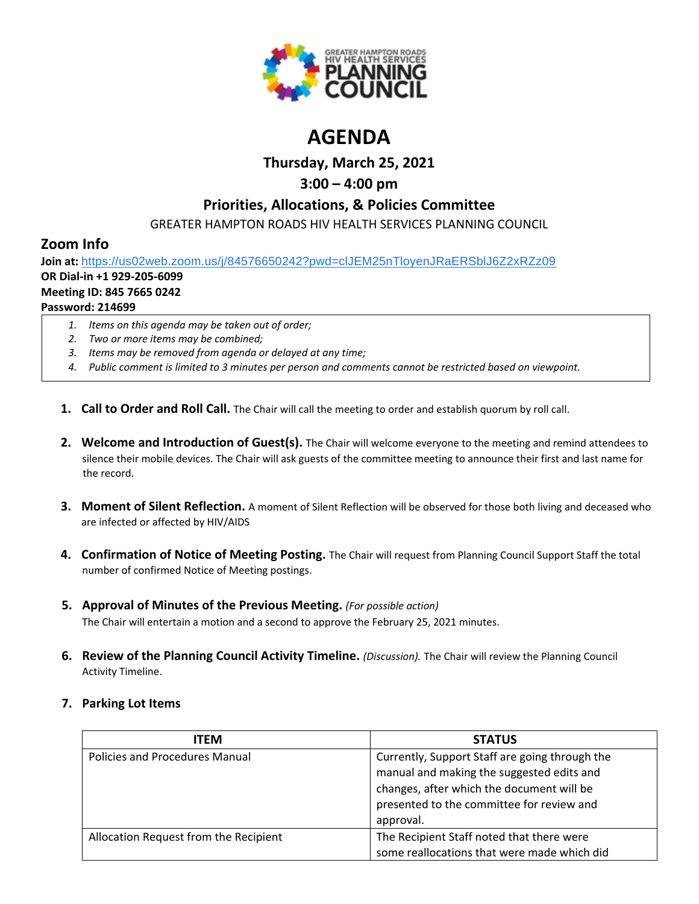

# **AGENDA**

**Thursday, March 25, 2021**

# **3:00 – 4:00 pm**

# **Priorities, Allocations, & Policies Committee**

GREATER HAMPTON ROADS HIV HEALTH SERVICES PLANNING COUNCIL

# **Zoom Info**

**Join at:** [https://us02web.zoom.us/j/84576650242?pwd=clJEM25nTloyenJRaERSblJ6Z2xRZz09](https://www.google.com/url?q=https://us02web.zoom.us/j/84576650242?pwd%3DclJEM25nTloyenJRaERSblJ6Z2xRZz09&sa=D&source=calendar&ust=1616595038982000&usg=AOvVaw3sK6cNtpF8kGuryyzK0Ew9)

## **OR Dial-in +1 929-205-6099**

#### **Meeting ID: 845 7665 0242**

### **Password: 214699**

- *1. Items on this agenda may be taken out of order;*
- *2. Two or more items may be combined;*
- *3. Items may be removed from agenda or delayed at any time;*
- *4. Public comment is limited to 3 minutes per person and comments cannot be restricted based on viewpoint.*
- **1. Call to Order and Roll Call.** The Chair will call the meeting to order and establish quorum by roll call.
- **2. Welcome and Introduction of Guest(s).** The Chair will welcome everyone to the meeting and remind attendees to silence their mobile devices. The Chair will ask guests of the committee meeting to announce their first and last name for the record.
- **3. Moment of Silent Reflection.** A moment of Silent Reflection will be observed for those both living and deceased who are infected or affected by HIV/AIDS
- **4. Confirmation of Notice of Meeting Posting.** The Chair will request from Planning Council Support Staff the total number of confirmed Notice of Meeting postings.
- **5. Approval of Minutes of the Previous Meeting.** *(For possible action)* The Chair will entertain a motion and a second to approve the February 25, 2021 minutes.
- **6. Review of the Planning Council Activity Timeline.** *(Discussion).* The Chair will review the Planning Council Activity Timeline.

## **7. Parking Lot Items**

| <b>ITEM</b>                           | <b>STATUS</b>                                                                                                                                                                                      |
|---------------------------------------|----------------------------------------------------------------------------------------------------------------------------------------------------------------------------------------------------|
| Policies and Procedures Manual        | Currently, Support Staff are going through the<br>manual and making the suggested edits and<br>changes, after which the document will be<br>presented to the committee for review and<br>approval. |
| Allocation Request from the Recipient | The Recipient Staff noted that there were<br>some reallocations that were made which did                                                                                                           |